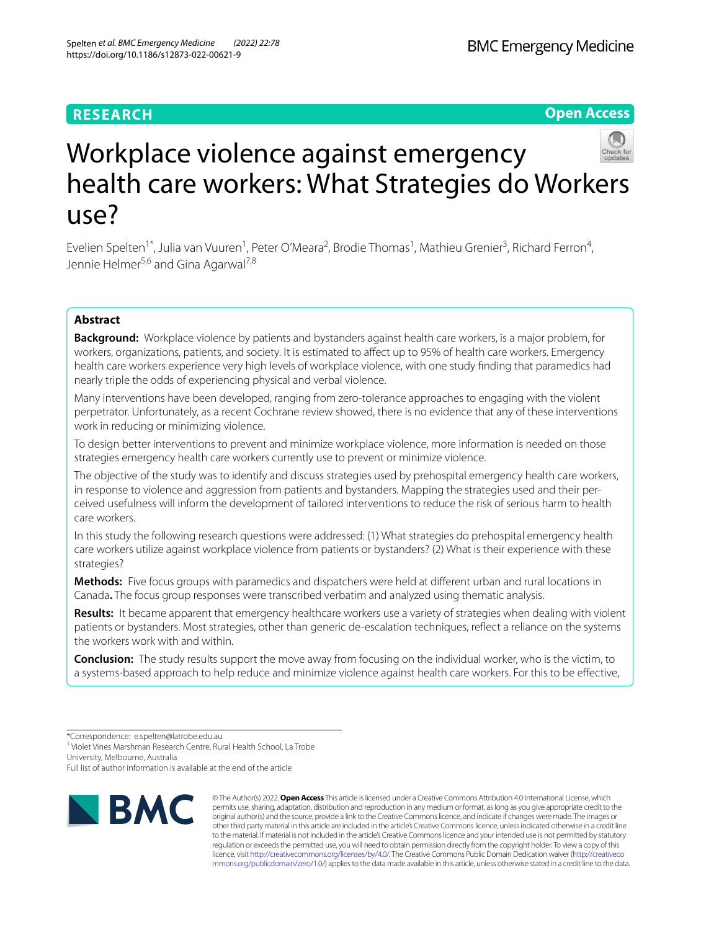# **Open Access**



# Workplace violence against emergency health care workers: What Strategies do Workers use?

Evelien Spelten<sup>1\*</sup>, Julia van Vuuren<sup>1</sup>, Peter O'Meara<sup>2</sup>, Brodie Thomas<sup>1</sup>, Mathieu Grenier<sup>3</sup>, Richard Ferron<sup>4</sup>, Jennie Helmer<sup>5,6</sup> and Gina Agarwal<sup>7,8</sup>

## **Abstract**

**Background:** Workplace violence by patients and bystanders against health care workers, is a major problem, for workers, organizations, patients, and society. It is estimated to afect up to 95% of health care workers. Emergency health care workers experience very high levels of workplace violence, with one study fnding that paramedics had nearly triple the odds of experiencing physical and verbal violence.

Many interventions have been developed, ranging from zero-tolerance approaches to engaging with the violent perpetrator. Unfortunately, as a recent Cochrane review showed, there is no evidence that any of these interventions work in reducing or minimizing violence.

To design better interventions to prevent and minimize workplace violence, more information is needed on those strategies emergency health care workers currently use to prevent or minimize violence.

The objective of the study was to identify and discuss strategies used by prehospital emergency health care workers, in response to violence and aggression from patients and bystanders. Mapping the strategies used and their perceived usefulness will inform the development of tailored interventions to reduce the risk of serious harm to health care workers.

In this study the following research questions were addressed: (1) What strategies do prehospital emergency health care workers utilize against workplace violence from patients or bystanders? (2) What is their experience with these strategies?

**Methods:** Five focus groups with paramedics and dispatchers were held at diferent urban and rural locations in Canada**.** The focus group responses were transcribed verbatim and analyzed using thematic analysis.

**Results:** It became apparent that emergency healthcare workers use a variety of strategies when dealing with violent patients or bystanders. Most strategies, other than generic de-escalation techniques, refect a reliance on the systems the workers work with and within.

**Conclusion:** The study results support the move away from focusing on the individual worker, who is the victim, to a systems-based approach to help reduce and minimize violence against health care workers. For this to be efective,

<sup>1</sup> Violet Vines Marshman Research Centre, Rural Health School, La Trobe

University, Melbourne, Australia

Full list of author information is available at the end of the article



© The Author(s) 2022. **Open Access** This article is licensed under a Creative Commons Attribution 4.0 International License, which permits use, sharing, adaptation, distribution and reproduction in any medium or format, as long as you give appropriate credit to the original author(s) and the source, provide a link to the Creative Commons licence, and indicate if changes were made. The images or other third party material in this article are included in the article's Creative Commons licence, unless indicated otherwise in a credit line to the material. If material is not included in the article's Creative Commons licence and your intended use is not permitted by statutory regulation or exceeds the permitted use, you will need to obtain permission directly from the copyright holder. To view a copy of this licence, visit [http://creativecommons.org/licenses/by/4.0/.](http://creativecommons.org/licenses/by/4.0/) The Creative Commons Public Domain Dedication waiver ([http://creativeco](http://creativecommons.org/publicdomain/zero/1.0/) [mmons.org/publicdomain/zero/1.0/](http://creativecommons.org/publicdomain/zero/1.0/)) applies to the data made available in this article, unless otherwise stated in a credit line to the data.

<sup>\*</sup>Correspondence: e.spelten@latrobe.edu.au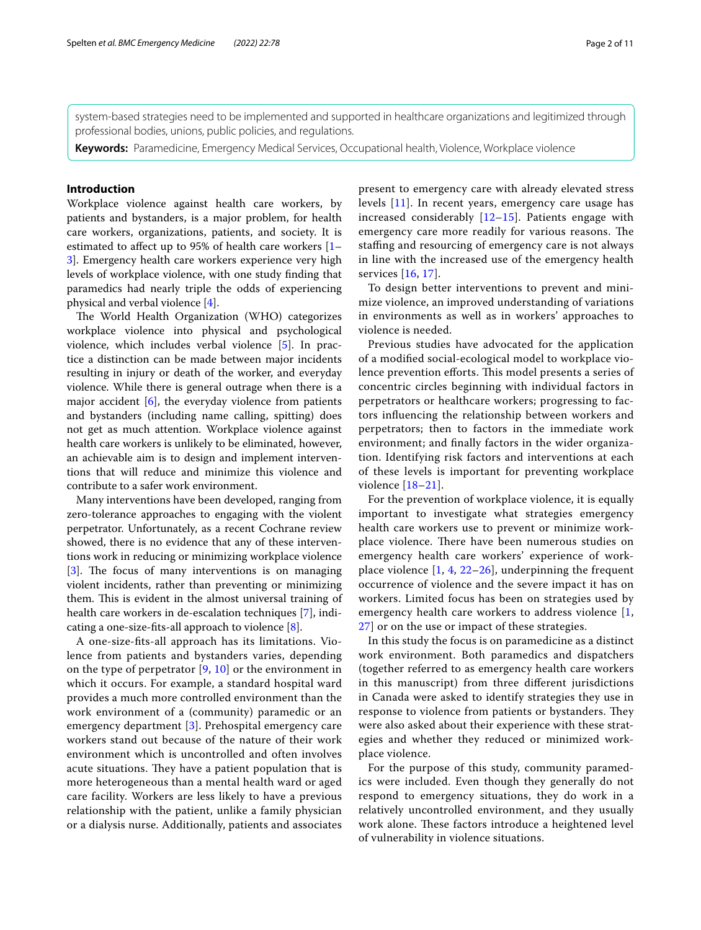system-based strategies need to be implemented and supported in healthcare organizations and legitimized through professional bodies, unions, public policies, and regulations.

**Keywords:** Paramedicine, Emergency Medical Services, Occupational health, Violence, Workplace violence

## **Introduction**

Workplace violence against health care workers, by patients and bystanders, is a major problem, for health care workers, organizations, patients, and society. It is estimated to afect up to 95% of health care workers [[1–](#page-9-0) [3\]](#page-9-1). Emergency health care workers experience very high levels of workplace violence, with one study fnding that paramedics had nearly triple the odds of experiencing physical and verbal violence [\[4\]](#page-9-2).

The World Health Organization (WHO) categorizes workplace violence into physical and psychological violence, which includes verbal violence [[5](#page-9-3)]. In practice a distinction can be made between major incidents resulting in injury or death of the worker, and everyday violence. While there is general outrage when there is a major accident  $[6]$  $[6]$ , the everyday violence from patients and bystanders (including name calling, spitting) does not get as much attention. Workplace violence against health care workers is unlikely to be eliminated, however, an achievable aim is to design and implement interventions that will reduce and minimize this violence and contribute to a safer work environment.

Many interventions have been developed, ranging from zero-tolerance approaches to engaging with the violent perpetrator. Unfortunately, as a recent Cochrane review showed, there is no evidence that any of these interventions work in reducing or minimizing workplace violence [[3\]](#page-9-1). The focus of many interventions is on managing violent incidents, rather than preventing or minimizing them. This is evident in the almost universal training of health care workers in de-escalation techniques [[7\]](#page-9-5), indicating a one-size-fts-all approach to violence [[8\]](#page-9-6).

A one-size-fts-all approach has its limitations. Violence from patients and bystanders varies, depending on the type of perpetrator  $[9, 10]$  $[9, 10]$  $[9, 10]$  $[9, 10]$  $[9, 10]$  or the environment in which it occurs. For example, a standard hospital ward provides a much more controlled environment than the work environment of a (community) paramedic or an emergency department [[3\]](#page-9-1). Prehospital emergency care workers stand out because of the nature of their work environment which is uncontrolled and often involves acute situations. They have a patient population that is more heterogeneous than a mental health ward or aged care facility. Workers are less likely to have a previous relationship with the patient, unlike a family physician or a dialysis nurse. Additionally, patients and associates present to emergency care with already elevated stress levels [\[11](#page-9-9)]. In recent years, emergency care usage has increased considerably [[12–](#page-9-10)[15](#page-9-11)]. Patients engage with emergency care more readily for various reasons. The stafng and resourcing of emergency care is not always in line with the increased use of the emergency health services [[16](#page-9-12), [17\]](#page-9-13).

To design better interventions to prevent and minimize violence, an improved understanding of variations in environments as well as in workers' approaches to violence is needed.

Previous studies have advocated for the application of a modifed social-ecological model to workplace violence prevention efforts. This model presents a series of concentric circles beginning with individual factors in perpetrators or healthcare workers; progressing to factors infuencing the relationship between workers and perpetrators; then to factors in the immediate work environment; and fnally factors in the wider organization. Identifying risk factors and interventions at each of these levels is important for preventing workplace violence [\[18](#page-9-14)[–21\]](#page-9-15).

For the prevention of workplace violence, it is equally important to investigate what strategies emergency health care workers use to prevent or minimize workplace violence. There have been numerous studies on emergency health care workers' experience of workplace violence [\[1](#page-9-0), [4,](#page-9-2) [22](#page-9-16)[–26](#page-9-17)], underpinning the frequent occurrence of violence and the severe impact it has on workers. Limited focus has been on strategies used by emergency health care workers to address violence [\[1](#page-9-0), [27\]](#page-9-18) or on the use or impact of these strategies.

In this study the focus is on paramedicine as a distinct work environment. Both paramedics and dispatchers (together referred to as emergency health care workers in this manuscript) from three diferent jurisdictions in Canada were asked to identify strategies they use in response to violence from patients or bystanders. They were also asked about their experience with these strategies and whether they reduced or minimized workplace violence.

For the purpose of this study, community paramedics were included. Even though they generally do not respond to emergency situations, they do work in a relatively uncontrolled environment, and they usually work alone. These factors introduce a heightened level of vulnerability in violence situations.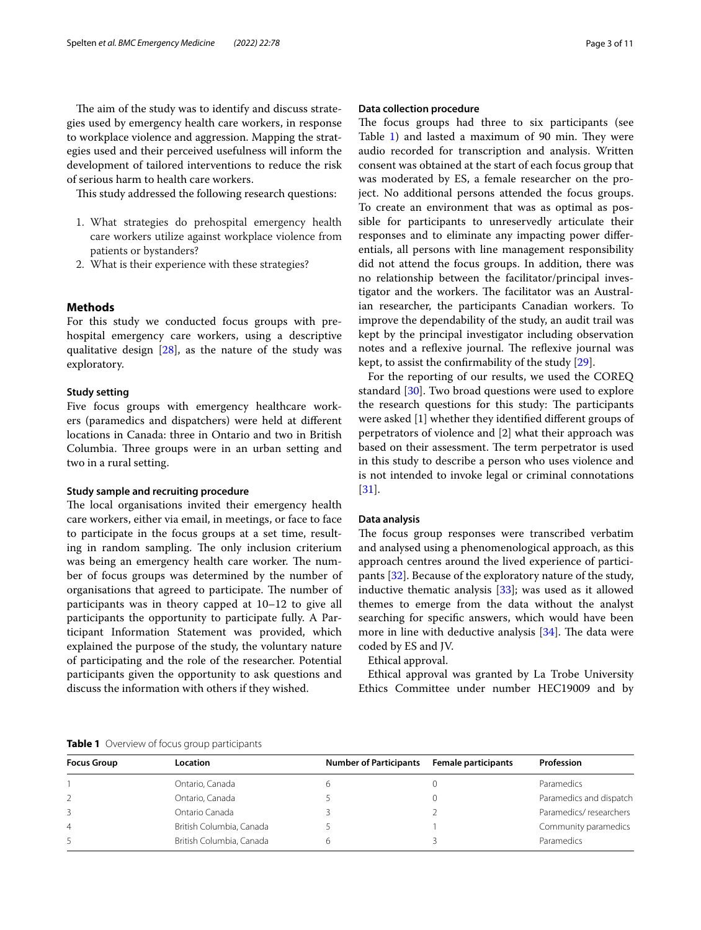The aim of the study was to identify and discuss strategies used by emergency health care workers, in response to workplace violence and aggression. Mapping the strategies used and their perceived usefulness will inform the development of tailored interventions to reduce the risk of serious harm to health care workers.

This study addressed the following research questions:

- 1. What strategies do prehospital emergency health care workers utilize against workplace violence from patients or bystanders?
- 2. What is their experience with these strategies?

## **Methods**

For this study we conducted focus groups with prehospital emergency care workers, using a descriptive qualitative design  $[28]$  $[28]$ , as the nature of the study was exploratory.

## **Study setting**

Five focus groups with emergency healthcare workers (paramedics and dispatchers) were held at diferent locations in Canada: three in Ontario and two in British Columbia. Three groups were in an urban setting and two in a rural setting.

#### **Study sample and recruiting procedure**

The local organisations invited their emergency health care workers, either via email, in meetings, or face to face to participate in the focus groups at a set time, resulting in random sampling. The only inclusion criterium was being an emergency health care worker. The number of focus groups was determined by the number of organisations that agreed to participate. The number of participants was in theory capped at 10–12 to give all participants the opportunity to participate fully. A Participant Information Statement was provided, which explained the purpose of the study, the voluntary nature of participating and the role of the researcher. Potential participants given the opportunity to ask questions and discuss the information with others if they wished.

## **Data collection procedure**

The focus groups had three to six participants (see Table [1](#page-2-0)) and lasted a maximum of 90 min. They were audio recorded for transcription and analysis. Written consent was obtained at the start of each focus group that was moderated by ES, a female researcher on the project. No additional persons attended the focus groups. To create an environment that was as optimal as possible for participants to unreservedly articulate their responses and to eliminate any impacting power diferentials, all persons with line management responsibility did not attend the focus groups. In addition, there was no relationship between the facilitator/principal investigator and the workers. The facilitator was an Australian researcher, the participants Canadian workers. To improve the dependability of the study, an audit trail was kept by the principal investigator including observation notes and a reflexive journal. The reflexive journal was kept, to assist the confrmability of the study [[29\]](#page-10-0).

For the reporting of our results, we used the COREQ standard [\[30](#page-10-1)]. Two broad questions were used to explore the research questions for this study: The participants were asked [1] whether they identifed diferent groups of perpetrators of violence and [2] what their approach was based on their assessment. The term perpetrator is used in this study to describe a person who uses violence and is not intended to invoke legal or criminal connotations [[31\]](#page-10-2).

## **Data analysis**

The focus group responses were transcribed verbatim and analysed using a phenomenological approach, as this approach centres around the lived experience of participants [\[32](#page-10-3)]. Because of the exploratory nature of the study, inductive thematic analysis [[33\]](#page-10-4); was used as it allowed themes to emerge from the data without the analyst searching for specifc answers, which would have been more in line with deductive analysis  $[34]$  $[34]$ . The data were coded by ES and JV.

Ethical approval.

Ethical approval was granted by La Trobe University Ethics Committee under number HEC19009 and by

<span id="page-2-0"></span>

| Table 1 Overview of focus group participants |  |
|----------------------------------------------|--|
|----------------------------------------------|--|

| <b>Focus Group</b> | Location                 | <b>Number of Participants</b> | <b>Female participants</b> | Profession              |  |
|--------------------|--------------------------|-------------------------------|----------------------------|-------------------------|--|
|                    | Ontario, Canada          |                               |                            | Paramedics              |  |
|                    | Ontario, Canada          |                               |                            | Paramedics and dispatch |  |
| 3                  | Ontario Canada           |                               |                            | Paramedics/researchers  |  |
| 4                  | British Columbia, Canada |                               |                            | Community paramedics    |  |
|                    | British Columbia, Canada | h                             |                            | Paramedics              |  |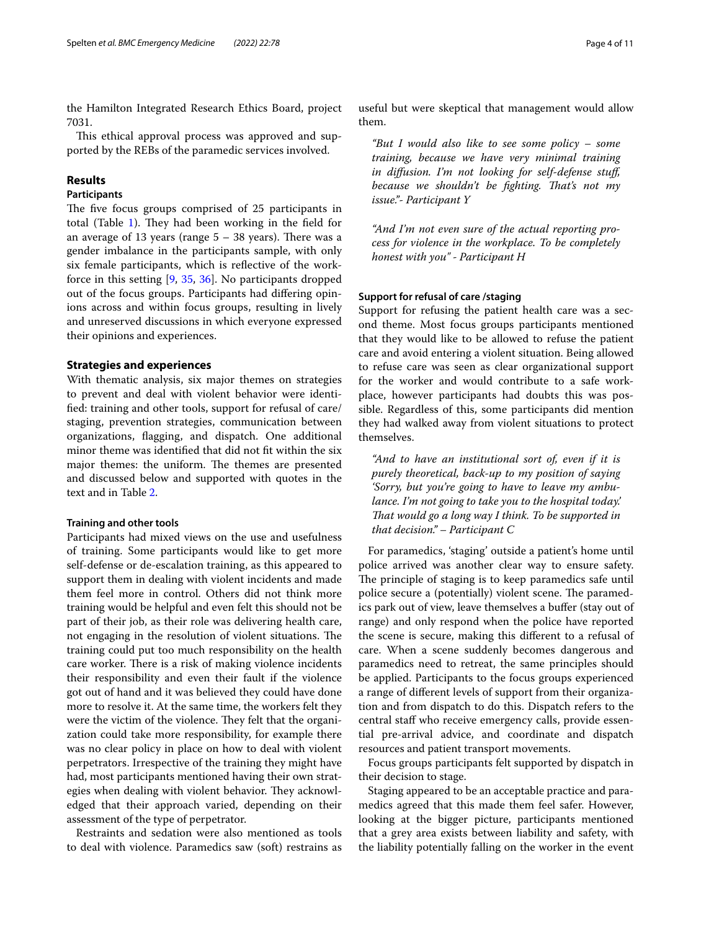the Hamilton Integrated Research Ethics Board, project 7031.

This ethical approval process was approved and supported by the REBs of the paramedic services involved.

## **Results**

## **Participants**

The five focus groups comprised of 25 participants in total (Table [1\)](#page-2-0). They had been working in the field for an average of 13 years (range  $5 - 38$  years). There was a gender imbalance in the participants sample, with only six female participants, which is refective of the workforce in this setting [[9,](#page-9-7) [35](#page-10-6), [36](#page-10-7)]. No participants dropped out of the focus groups. Participants had difering opinions across and within focus groups, resulting in lively and unreserved discussions in which everyone expressed their opinions and experiences.

## **Strategies and experiences**

With thematic analysis, six major themes on strategies to prevent and deal with violent behavior were identifed: training and other tools, support for refusal of care/ staging, prevention strategies, communication between organizations, fagging, and dispatch. One additional minor theme was identifed that did not ft within the six major themes: the uniform. The themes are presented and discussed below and supported with quotes in the text and in Table [2.](#page-4-0)

#### **Training and other tools**

Participants had mixed views on the use and usefulness of training. Some participants would like to get more self-defense or de-escalation training, as this appeared to support them in dealing with violent incidents and made them feel more in control. Others did not think more training would be helpful and even felt this should not be part of their job, as their role was delivering health care, not engaging in the resolution of violent situations. The training could put too much responsibility on the health care worker. There is a risk of making violence incidents their responsibility and even their fault if the violence got out of hand and it was believed they could have done more to resolve it. At the same time, the workers felt they were the victim of the violence. They felt that the organization could take more responsibility, for example there was no clear policy in place on how to deal with violent perpetrators. Irrespective of the training they might have had, most participants mentioned having their own strategies when dealing with violent behavior. They acknowledged that their approach varied, depending on their assessment of the type of perpetrator.

Restraints and sedation were also mentioned as tools to deal with violence. Paramedics saw (soft) restrains as

useful but were skeptical that management would allow them.

*"But I would also like to see some policy – some training, because we have very minimal training in difusion. I'm not looking for self-defense stuf, because we shouldn't be fghting. Tat's not my issue."- Participant Y* 

*"And I'm not even sure of the actual reporting process for violence in the workplace. To be completely honest with you" - Participant H*

## **Support for refusal of care /staging**

Support for refusing the patient health care was a second theme. Most focus groups participants mentioned that they would like to be allowed to refuse the patient care and avoid entering a violent situation. Being allowed to refuse care was seen as clear organizational support for the worker and would contribute to a safe workplace, however participants had doubts this was possible. Regardless of this, some participants did mention they had walked away from violent situations to protect themselves.

*"And to have an institutional sort of, even if it is purely theoretical, back-up to my position of saying 'Sorry, but you're going to have to leave my ambulance. I'm not going to take you to the hospital today.' Tat would go a long way I think. To be supported in that decision." – Participant C*

For paramedics, 'staging' outside a patient's home until police arrived was another clear way to ensure safety. The principle of staging is to keep paramedics safe until police secure a (potentially) violent scene. The paramedics park out of view, leave themselves a buffer (stay out of range) and only respond when the police have reported the scene is secure, making this diferent to a refusal of care. When a scene suddenly becomes dangerous and paramedics need to retreat, the same principles should be applied. Participants to the focus groups experienced a range of diferent levels of support from their organization and from dispatch to do this. Dispatch refers to the central staf who receive emergency calls, provide essential pre-arrival advice, and coordinate and dispatch resources and patient transport movements.

Focus groups participants felt supported by dispatch in their decision to stage.

Staging appeared to be an acceptable practice and paramedics agreed that this made them feel safer. However, looking at the bigger picture, participants mentioned that a grey area exists between liability and safety, with the liability potentially falling on the worker in the event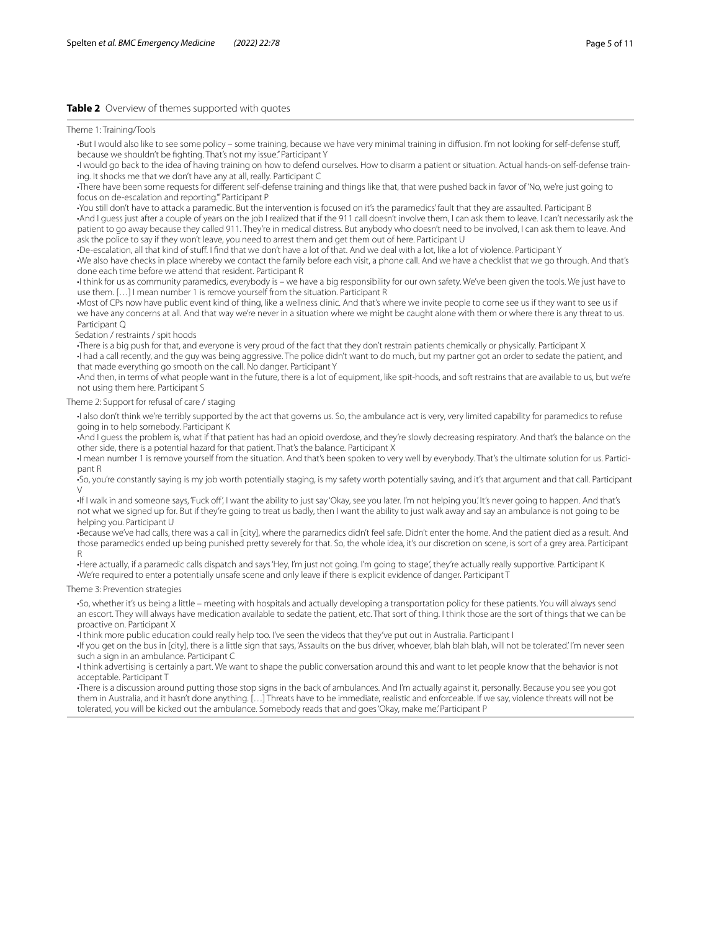## <span id="page-4-0"></span>**Table 2** Overview of themes supported with quotes

Theme 1: Training/Tools

•But I would also like to see some policy – some training, because we have very minimal training in difusion. I'm not looking for self-defense stuf, because we shouldn't be fghting. That's not my issue." Participant Y

•I would go back to the idea of having training on how to defend ourselves. How to disarm a patient or situation. Actual hands-on self-defense training. It shocks me that we don't have any at all, really. Participant C

•You still don't have to attack a paramedic. But the intervention is focused on it's the paramedics' fault that they are assaulted. Participant B •And I guess just after a couple of years on the job I realized that if the 911 call doesn't involve them, I can ask them to leave. I can't necessarily ask the patient to go away because they called 911. They're in medical distress. But anybody who doesn't need to be involved, I can ask them to leave. And ask the police to say if they won't leave, you need to arrest them and get them out of here. Participant U

•De-escalation, all that kind of stuf. I fnd that we don't have a lot of that. And we deal with a lot, like a lot of violence. Participant Y

•We also have checks in place whereby we contact the family before each visit, a phone call. And we have a checklist that we go through. And that's done each time before we attend that resident. Participant R

•I think for us as community paramedics, everybody is – we have a big responsibility for our own safety. We've been given the tools. We just have to use them. […] I mean number 1 is remove yourself from the situation. Participant R

•Most of CPs now have public event kind of thing, like a wellness clinic. And that's where we invite people to come see us if they want to see us if we have any concerns at all. And that way we're never in a situation where we might be caught alone with them or where there is any threat to us. Participant Q

Sedation / restraints / spit hoods

•There is a big push for that, and everyone is very proud of the fact that they don't restrain patients chemically or physically. Participant X •I had a call recently, and the guy was being aggressive. The police didn't want to do much, but my partner got an order to sedate the patient, and that made everything go smooth on the call. No danger. Participant Y

•And then, in terms of what people want in the future, there is a lot of equipment, like spit-hoods, and soft restrains that are available to us, but we're not using them here. Participant S

Theme 2: Support for refusal of care / staging

•I also don't think we're terribly supported by the act that governs us. So, the ambulance act is very, very limited capability for paramedics to refuse going in to help somebody. Participant K

•And I guess the problem is, what if that patient has had an opioid overdose, and they're slowly decreasing respiratory. And that's the balance on the other side, there is a potential hazard for that patient. That's the balance. Participant X

•I mean number 1 is remove yourself from the situation. And that's been spoken to very well by everybody. That's the ultimate solution for us. Participant R

•So, you're constantly saying is my job worth potentially staging, is my safety worth potentially saving, and it's that argument and that call. Participant V

•If I walk in and someone says, 'Fuck of', I want the ability to just say 'Okay, see you later. I'm not helping you.' It's never going to happen. And that's not what we signed up for. But if they're going to treat us badly, then I want the ability to just walk away and say an ambulance is not going to be helping you. Participant U

•Because we've had calls, there was a call in [city], where the paramedics didn't feel safe. Didn't enter the home. And the patient died as a result. And those paramedics ended up being punished pretty severely for that. So, the whole idea, it's our discretion on scene, is sort of a grey area. Participant R

•Here actually, if a paramedic calls dispatch and says 'Hey, I'm just not going. I'm going to stage.', they're actually really supportive. Participant K •We're required to enter a potentially unsafe scene and only leave if there is explicit evidence of danger. Participant T

Theme 3: Prevention strategies

•So, whether it's us being a little – meeting with hospitals and actually developing a transportation policy for these patients. You will always send an escort. They will always have medication available to sedate the patient, etc. That sort of thing. I think those are the sort of things that we can be proactive on. Participant X

•I think more public education could really help too. I've seen the videos that they've put out in Australia. Participant I

•If you get on the bus in [city], there is a little sign that says, 'Assaults on the bus driver, whoever, blah blah blah, will not be tolerated.' I'm never seen such a sign in an ambulance. Participant C

•I think advertising is certainly a part. We want to shape the public conversation around this and want to let people know that the behavior is not acceptable. Participant T

•There is a discussion around putting those stop signs in the back of ambulances. And I'm actually against it, personally. Because you see you got them in Australia, and it hasn't done anything. […] Threats have to be immediate, realistic and enforceable. If we say, violence threats will not be tolerated, you will be kicked out the ambulance. Somebody reads that and goes 'Okay, make me.' Participant P

<sup>•</sup>There have been some requests for diferent self-defense training and things like that, that were pushed back in favor of 'No, we're just going to focus on de-escalation and reporting.'" Participant P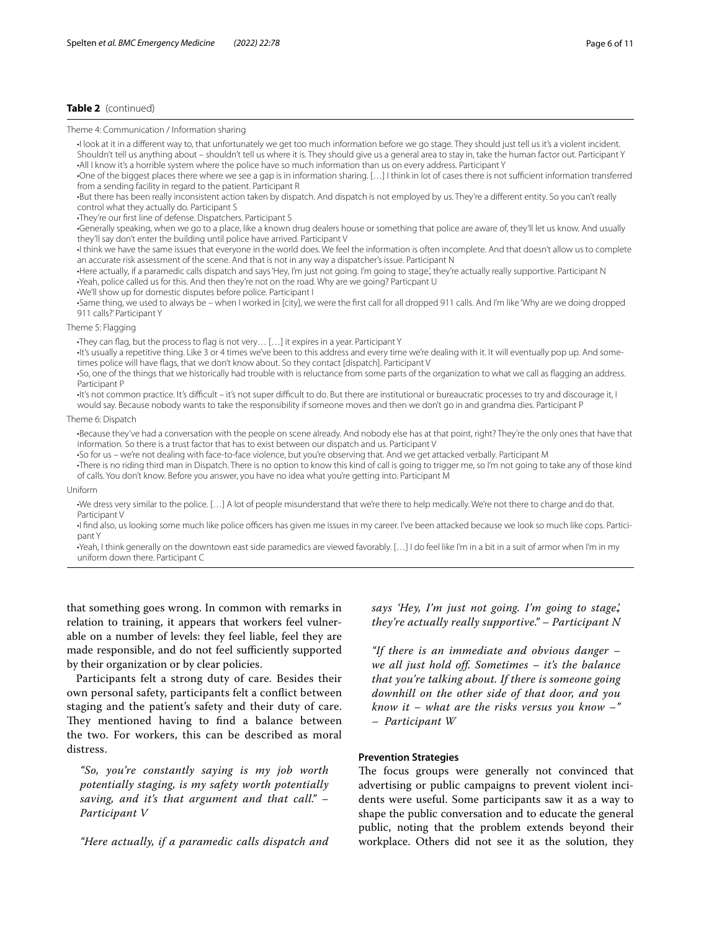## **Table 2** (continued)

Theme 4: Communication / Information sharing

•They're our frst line of defense. Dispatchers. Participant S

•Generally speaking, when we go to a place, like a known drug dealers house or something that police are aware of, they'll let us know. And usually they'll say don't enter the building until police have arrived. Participant V

•I think we have the same issues that everyone in the world does. We feel the information is often incomplete. And that doesn't allow us to complete an accurate risk assessment of the scene. And that is not in any way a dispatcher's issue. Participant N

•Here actually, if a paramedic calls dispatch and says 'Hey, I'm just not going. I'm going to stage.', they're actually really supportive. Participant N •Yeah, police called us for this. And then they're not on the road. Why are we going? Particpant U

•We'll show up for domestic disputes before police. Participant I

•Same thing, we used to always be – when I worked in [city], we were the frst call for all dropped 911 calls. And I'm like 'Why are we doing dropped 911 calls?' Participant Y

#### Theme 5: Flagging

•They can fag, but the process to fag is not very… […] it expires in a year. Participant Y

•It's usually a repetitive thing. Like 3 or 4 times we've been to this address and every time we're dealing with it. It will eventually pop up. And sometimes police will have flags, that we don't know about. So they contact [dispatch]. Participant V

•So, one of the things that we historically had trouble with is reluctance from some parts of the organization to what we call as fagging an address. Participant P

•It's not common practice. It's difcult – it's not super difcult to do. But there are institutional or bureaucratic processes to try and discourage it, I would say. Because nobody wants to take the responsibility if someone moves and then we don't go in and grandma dies. Participant P

#### Theme 6: Dispatch

•Because they've had a conversation with the people on scene already. And nobody else has at that point, right? They're the only ones that have that information. So there is a trust factor that has to exist between our dispatch and us. Participant V

•So for us – we're not dealing with face-to-face violence, but you're observing that. And we get attacked verbally. Participant M

•There is no riding third man in Dispatch. There is no option to know this kind of call is going to trigger me, so I'm not going to take any of those kind of calls. You don't know. Before you answer, you have no idea what you're getting into. Participant M

#### Uniform

•We dress very similar to the police. […] A lot of people misunderstand that we're there to help medically. We're not there to charge and do that. Participant \

•I find also, us looking some much like police officers has given me issues in my career. I've been attacked because we look so much like cops. Participant Y

•Yeah, I think generally on the downtown east side paramedics are viewed favorably. […] I do feel like I'm in a bit in a suit of armor when I'm in my uniform down there. Participant C

that something goes wrong. In common with remarks in relation to training, it appears that workers feel vulnerable on a number of levels: they feel liable, feel they are made responsible, and do not feel sufficiently supported by their organization or by clear policies.

Participants felt a strong duty of care. Besides their own personal safety, participants felt a confict between staging and the patient's safety and their duty of care. They mentioned having to find a balance between the two. For workers, this can be described as moral distress.

*"So, you're constantly saying is my job worth potentially staging, is my safety worth potentially saving, and it's that argument and that call." – Participant V*

*"Here actually, if a paramedic calls dispatch and* 

*says 'Hey, I'm just not going. I'm going to stage.', they're actually really supportive." – Participant N*

*"If there is an immediate and obvious danger – we all just hold off. Sometimes – it's the balance that you're talking about. If there is someone going downhill on the other side of that door, and you know it – what are the risks versus you know –" – Participant W*

## **Prevention Strategies**

The focus groups were generally not convinced that advertising or public campaigns to prevent violent incidents were useful. Some participants saw it as a way to shape the public conversation and to educate the general public, noting that the problem extends beyond their workplace. Others did not see it as the solution, they

<sup>•</sup>I look at it in a diferent way to, that unfortunately we get too much information before we go stage. They should just tell us it's a violent incident. Shouldn't tell us anything about – shouldn't tell us where it is. They should give us a general area to stay in, take the human factor out. Participant Y •All I know it's a horrible system where the police have so much information than us on every address. Participant Y

<sup>•</sup>One of the biggest places there where we see a gap is in information sharing. […] I think in lot of cases there is not sufcient information transferred from a sending facility in regard to the patient. Participant R

<sup>•</sup>But there has been really inconsistent action taken by dispatch. And dispatch is not employed by us. They're a diferent entity. So you can't really control what they actually do. Participant S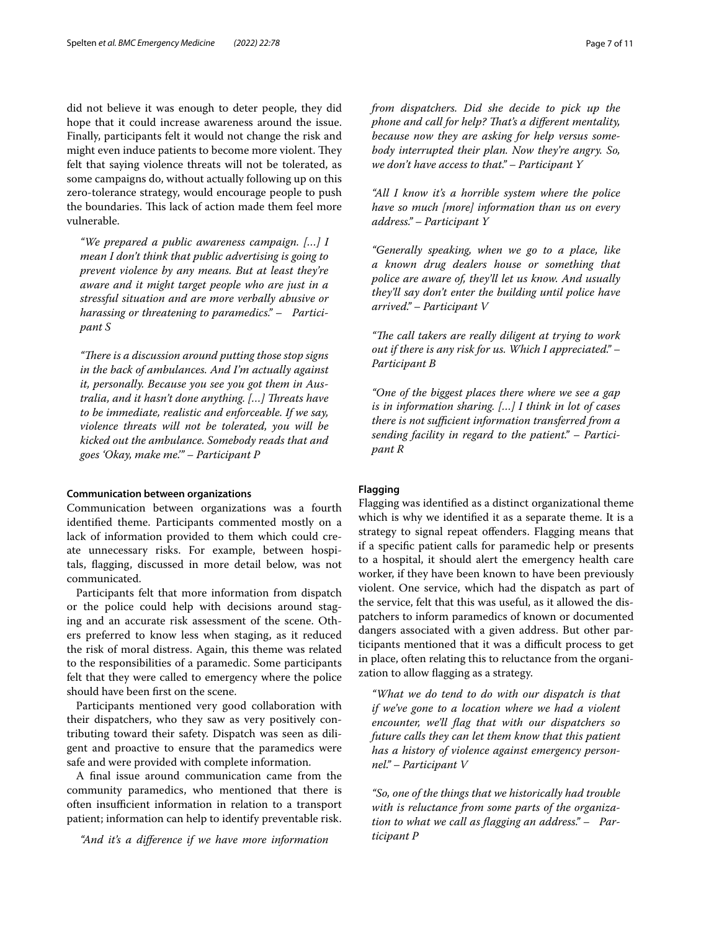did not believe it was enough to deter people, they did hope that it could increase awareness around the issue. Finally, participants felt it would not change the risk and might even induce patients to become more violent. They felt that saying violence threats will not be tolerated, as some campaigns do, without actually following up on this zero-tolerance strategy, would encourage people to push the boundaries. This lack of action made them feel more vulnerable.

*"We prepared a public awareness campaign. […] I mean I don't think that public advertising is going to prevent violence by any means. But at least they're aware and it might target people who are just in a stressful situation and are more verbally abusive or harassing or threatening to paramedics." – Participant S*

*"Tere is a discussion around putting those stop signs in the back of ambulances. And I'm actually against it, personally. Because you see you got them in Australia, and it hasn't done anything. [...] Threats have to be immediate, realistic and enforceable. If we say, violence threats will not be tolerated, you will be kicked out the ambulance. Somebody reads that and goes 'Okay, make me.'" – Participant P*

#### **Communication between organizations**

Communication between organizations was a fourth identifed theme. Participants commented mostly on a lack of information provided to them which could create unnecessary risks. For example, between hospitals, fagging, discussed in more detail below, was not communicated.

Participants felt that more information from dispatch or the police could help with decisions around staging and an accurate risk assessment of the scene. Others preferred to know less when staging, as it reduced the risk of moral distress. Again, this theme was related to the responsibilities of a paramedic. Some participants felt that they were called to emergency where the police should have been frst on the scene.

Participants mentioned very good collaboration with their dispatchers, who they saw as very positively contributing toward their safety. Dispatch was seen as diligent and proactive to ensure that the paramedics were safe and were provided with complete information.

A fnal issue around communication came from the community paramedics, who mentioned that there is often insufficient information in relation to a transport patient; information can help to identify preventable risk.

*"And it's a diference if we have more information* 

*from dispatchers. Did she decide to pick up the phone and call for help? That's a different mentality, because now they are asking for help versus somebody interrupted their plan. Now they're angry. So, we don't have access to that." – Participant Y*

*"All I know it's a horrible system where the police have so much [more] information than us on every address." – Participant Y*

*"Generally speaking, when we go to a place, like a known drug dealers house or something that police are aware of, they'll let us know. And usually they'll say don't enter the building until police have arrived." – Participant V*

"The call takers are really diligent at trying to work *out if there is any risk for us. Which I appreciated." – Participant B*

*"One of the biggest places there where we see a gap is in information sharing. […] I think in lot of cases there is not sufficient information transferred from a sending facility in regard to the patient." – Participant R*

## **Flagging**

Flagging was identifed as a distinct organizational theme which is why we identifed it as a separate theme. It is a strategy to signal repeat ofenders. Flagging means that if a specifc patient calls for paramedic help or presents to a hospital, it should alert the emergency health care worker, if they have been known to have been previously violent. One service, which had the dispatch as part of the service, felt that this was useful, as it allowed the dispatchers to inform paramedics of known or documented dangers associated with a given address. But other participants mentioned that it was a difficult process to get in place, often relating this to reluctance from the organization to allow fagging as a strategy.

*"What we do tend to do with our dispatch is that if we've gone to a location where we had a violent encounter, we'll fag that with our dispatchers so future calls they can let them know that this patient has a history of violence against emergency personnel." – Participant V*

*"So, one of the things that we historically had trouble with is reluctance from some parts of the organization to what we call as fagging an address." – Participant P*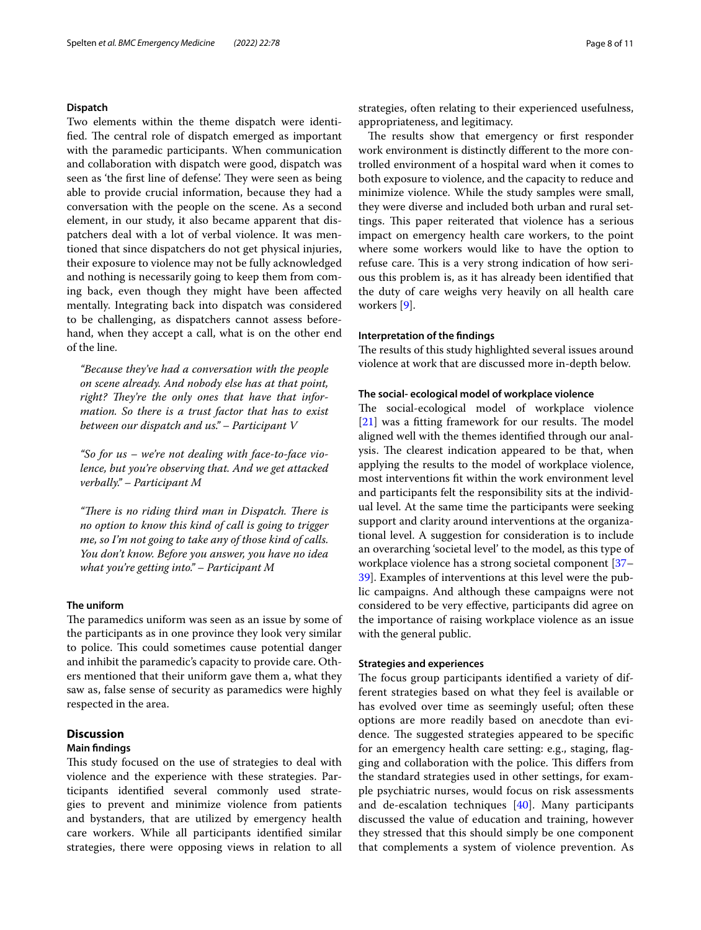## **Dispatch**

Two elements within the theme dispatch were identified. The central role of dispatch emerged as important with the paramedic participants. When communication and collaboration with dispatch were good, dispatch was seen as 'the first line of defense'. They were seen as being able to provide crucial information, because they had a conversation with the people on the scene. As a second element, in our study, it also became apparent that dispatchers deal with a lot of verbal violence. It was mentioned that since dispatchers do not get physical injuries, their exposure to violence may not be fully acknowledged and nothing is necessarily going to keep them from coming back, even though they might have been afected mentally. Integrating back into dispatch was considered to be challenging, as dispatchers cannot assess beforehand, when they accept a call, what is on the other end of the line.

*"Because they've had a conversation with the people on scene already. And nobody else has at that point,*  right? They're the only ones that have that infor*mation. So there is a trust factor that has to exist between our dispatch and us." – Participant V*

*"So for us – we're not dealing with face-to-face violence, but you're observing that. And we get attacked verbally." – Participant M*

"There is no riding third man in Dispatch. There is *no option to know this kind of call is going to trigger me, so I'm not going to take any of those kind of calls. You don't know. Before you answer, you have no idea what you're getting into." – Participant M*

## **The uniform**

The paramedics uniform was seen as an issue by some of the participants as in one province they look very similar to police. This could sometimes cause potential danger and inhibit the paramedic's capacity to provide care. Others mentioned that their uniform gave them a, what they saw as, false sense of security as paramedics were highly respected in the area.

## **Discussion**

#### **Main fndings**

This study focused on the use of strategies to deal with violence and the experience with these strategies. Participants identifed several commonly used strategies to prevent and minimize violence from patients and bystanders, that are utilized by emergency health care workers. While all participants identifed similar strategies, there were opposing views in relation to all strategies, often relating to their experienced usefulness, appropriateness, and legitimacy.

The results show that emergency or first responder work environment is distinctly diferent to the more controlled environment of a hospital ward when it comes to both exposure to violence, and the capacity to reduce and minimize violence. While the study samples were small, they were diverse and included both urban and rural settings. This paper reiterated that violence has a serious impact on emergency health care workers, to the point where some workers would like to have the option to refuse care. This is a very strong indication of how serious this problem is, as it has already been identifed that the duty of care weighs very heavily on all health care workers [[9\]](#page-9-7).

#### **Interpretation of the fndings**

The results of this study highlighted several issues around violence at work that are discussed more in-depth below.

#### **The social‑ ecological model of workplace violence**

The social-ecological model of workplace violence  $[21]$  $[21]$  was a fitting framework for our results. The model aligned well with the themes identifed through our analysis. The clearest indication appeared to be that, when applying the results to the model of workplace violence, most interventions ft within the work environment level and participants felt the responsibility sits at the individual level. At the same time the participants were seeking support and clarity around interventions at the organizational level. A suggestion for consideration is to include an overarching 'societal level' to the model, as this type of workplace violence has a strong societal component [[37–](#page-10-8) [39\]](#page-10-9). Examples of interventions at this level were the public campaigns. And although these campaigns were not considered to be very efective, participants did agree on the importance of raising workplace violence as an issue with the general public.

## **Strategies and experiences**

The focus group participants identified a variety of different strategies based on what they feel is available or has evolved over time as seemingly useful; often these options are more readily based on anecdote than evidence. The suggested strategies appeared to be specific for an emergency health care setting: e.g., staging, flagging and collaboration with the police. This differs from the standard strategies used in other settings, for example psychiatric nurses, would focus on risk assessments and de-escalation techniques [\[40](#page-10-10)]. Many participants discussed the value of education and training, however they stressed that this should simply be one component that complements a system of violence prevention. As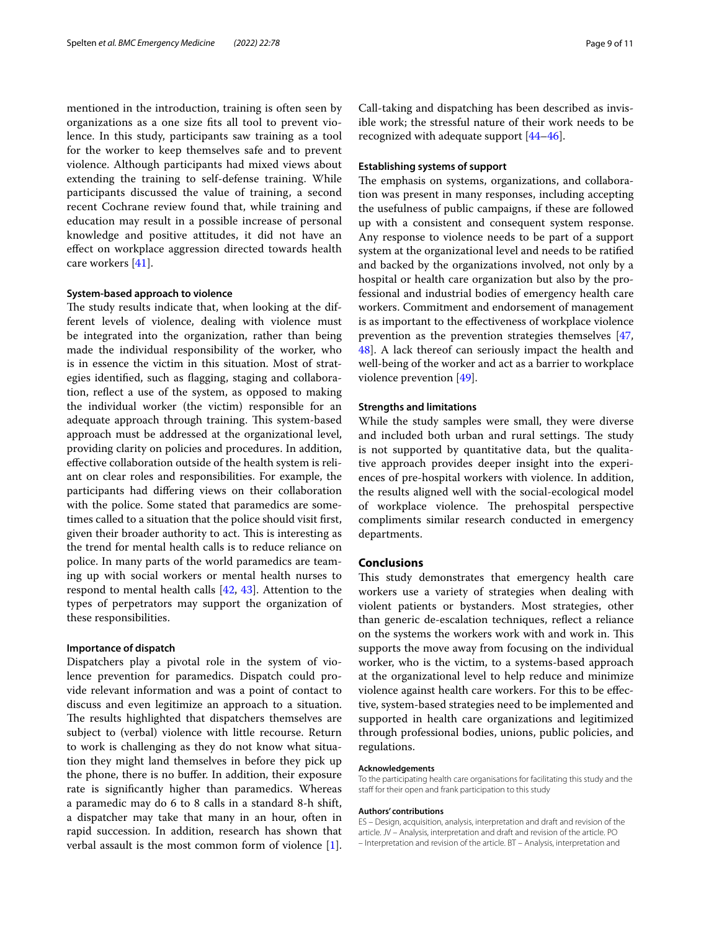mentioned in the introduction, training is often seen by organizations as a one size fts all tool to prevent violence. In this study, participants saw training as a tool for the worker to keep themselves safe and to prevent violence. Although participants had mixed views about extending the training to self-defense training. While participants discussed the value of training, a second recent Cochrane review found that, while training and education may result in a possible increase of personal knowledge and positive attitudes, it did not have an efect on workplace aggression directed towards health care workers [[41\]](#page-10-11).

### **System‑based approach to violence**

The study results indicate that, when looking at the different levels of violence, dealing with violence must be integrated into the organization, rather than being made the individual responsibility of the worker, who is in essence the victim in this situation. Most of strategies identifed, such as fagging, staging and collaboration, refect a use of the system, as opposed to making the individual worker (the victim) responsible for an adequate approach through training. This system-based approach must be addressed at the organizational level, providing clarity on policies and procedures. In addition, efective collaboration outside of the health system is reliant on clear roles and responsibilities. For example, the participants had difering views on their collaboration with the police. Some stated that paramedics are sometimes called to a situation that the police should visit frst, given their broader authority to act. This is interesting as the trend for mental health calls is to reduce reliance on police. In many parts of the world paramedics are teaming up with social workers or mental health nurses to respond to mental health calls [[42](#page-10-12), [43\]](#page-10-13). Attention to the types of perpetrators may support the organization of these responsibilities.

#### **Importance of dispatch**

Dispatchers play a pivotal role in the system of violence prevention for paramedics. Dispatch could provide relevant information and was a point of contact to discuss and even legitimize an approach to a situation. The results highlighted that dispatchers themselves are subject to (verbal) violence with little recourse. Return to work is challenging as they do not know what situation they might land themselves in before they pick up the phone, there is no bufer. In addition, their exposure rate is signifcantly higher than paramedics. Whereas a paramedic may do 6 to 8 calls in a standard 8-h shift, a dispatcher may take that many in an hour, often in rapid succession. In addition, research has shown that verbal assault is the most common form of violence [\[1](#page-9-0)].

Call-taking and dispatching has been described as invisible work; the stressful nature of their work needs to be recognized with adequate support [\[44](#page-10-14)[–46](#page-10-15)].

## **Establishing systems of support**

The emphasis on systems, organizations, and collaboration was present in many responses, including accepting the usefulness of public campaigns, if these are followed up with a consistent and consequent system response. Any response to violence needs to be part of a support system at the organizational level and needs to be ratifed and backed by the organizations involved, not only by a hospital or health care organization but also by the professional and industrial bodies of emergency health care workers. Commitment and endorsement of management is as important to the efectiveness of workplace violence prevention as the prevention strategies themselves [[47](#page-10-16), [48\]](#page-10-17). A lack thereof can seriously impact the health and well-being of the worker and act as a barrier to workplace violence prevention [[49\]](#page-10-18).

#### **Strengths and limitations**

While the study samples were small, they were diverse and included both urban and rural settings. The study is not supported by quantitative data, but the qualitative approach provides deeper insight into the experiences of pre-hospital workers with violence. In addition, the results aligned well with the social-ecological model of workplace violence. The prehospital perspective compliments similar research conducted in emergency departments.

#### **Conclusions**

This study demonstrates that emergency health care workers use a variety of strategies when dealing with violent patients or bystanders. Most strategies, other than generic de-escalation techniques, reflect a reliance on the systems the workers work with and work in. This supports the move away from focusing on the individual worker, who is the victim, to a systems-based approach at the organizational level to help reduce and minimize violence against health care workers. For this to be efective, system-based strategies need to be implemented and supported in health care organizations and legitimized through professional bodies, unions, public policies, and regulations.

#### **Acknowledgements**

To the participating health care organisations for facilitating this study and the staff for their open and frank participation to this study

#### **Authors' contributions**

ES – Design, acquisition, analysis, interpretation and draft and revision of the article. JV – Analysis, interpretation and draft and revision of the article. PO – Interpretation and revision of the article. BT – Analysis, interpretation and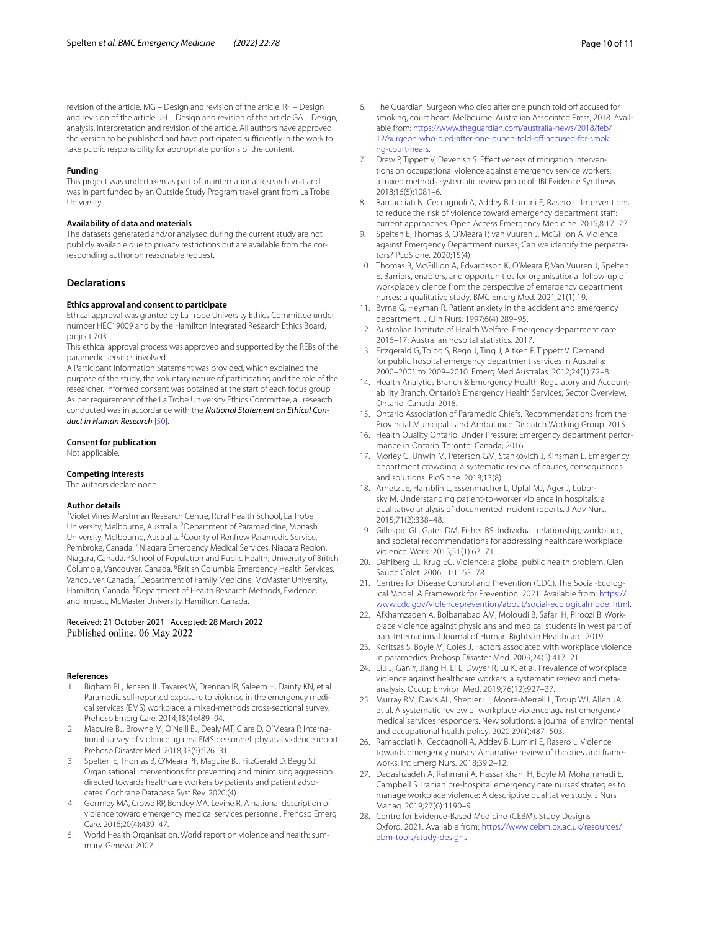revision of the article. MG – Design and revision of the article. RF – Design and revision of the article. JH – Design and revision of the article.GA – Design, analysis, interpretation and revision of the article. All authors have approved the version to be published and have participated sufficiently in the work to take public responsibility for appropriate portions of the content.

#### **Funding**

This project was undertaken as part of an international research visit and was in part funded by an Outside Study Program travel grant from La Trobe University.

## **Availability of data and materials**

The datasets generated and/or analysed during the current study are not publicly available due to privacy restrictions but are available from the corresponding author on reasonable request.

## **Declarations**

#### **Ethics approval and consent to participate**

Ethical approval was granted by La Trobe University Ethics Committee under number HEC19009 and by the Hamilton Integrated Research Ethics Board, project 7031.

This ethical approval process was approved and supported by the REBs of the paramedic services involved.

A Participant Information Statement was provided, which explained the purpose of the study, the voluntary nature of participating and the role of the researcher. Informed consent was obtained at the start of each focus group. As per requirement of the La Trobe University Ethics Committee, all research conducted was in accordance with the *National Statement on Ethical Conduct in Human Research* [\[50](#page-10-19)].

#### **Consent for publication**

Not applicable.

### **Competing interests**

The authors declare none.

#### **Author details**

<sup>1</sup> Violet Vines Marshman Research Centre, Rural Health School, La Trobe University, Melbourne, Australia. <sup>2</sup> Department of Paramedicine, Monash University, Melbourne, Australia. <sup>3</sup> County of Renfrew Paramedic Service, Pembroke, Canada. <sup>4</sup>Niagara Emergency Medical Services, Niagara Region, Niagara, Canada. <sup>5</sup> School of Population and Public Health, University of British Columbia, Vancouver, Canada. <sup>6</sup> British Columbia Emergency Health Services, Vancouver, Canada. <sup>7</sup> Department of Family Medicine, McMaster University, Hamilton, Canada. <sup>8</sup> Department of Health Research Methods, Evidence, and Impact, McMaster University, Hamilton, Canada.

#### Received: 21 October 2021 Accepted: 28 March 2022 Published online: 06 May 2022

#### **References**

- <span id="page-9-0"></span>Bigham BL, Jensen JL, Tavares W, Drennan IR, Saleem H, Dainty KN, et al. Paramedic self-reported exposure to violence in the emergency medical services (EMS) workplace: a mixed-methods cross-sectional survey. Prehosp Emerg Care. 2014;18(4):489–94.
- 2. Maguire BJ, Browne M, O'Neill BJ, Dealy MT, Clare D, O'Meara P. International survey of violence against EMS personnel: physical violence report. Prehosp Disaster Med. 2018;33(5):526–31.
- <span id="page-9-1"></span>3. Spelten E, Thomas B, O'Meara PF, Maguire BJ, FitzGerald D, Begg SJ. Organisational interventions for preventing and minimising aggression directed towards healthcare workers by patients and patient advocates. Cochrane Database Syst Rev. 2020;(4).
- <span id="page-9-2"></span>4. Gormley MA, Crowe RP, Bentley MA, Levine R. A national description of violence toward emergency medical services personnel. Prehosp Emerg Care. 2016;20(4):439–47.
- <span id="page-9-3"></span>5. World Health Organisation. World report on violence and health: summary. Geneva; 2002.
- <span id="page-9-4"></span>6. The Guardian. Surgeon who died after one punch told off accused for smoking, court hears. Melbourne: Australian Associated Press; 2018. Available from: [https://www.theguardian.com/australia-news/2018/feb/](https://www.theguardian.com/australia-news/2018/feb/12/surgeon-who-died-after-one-punch-told-off-accused-for-smoking-court-hears) 12/surgeon-who-died-after-one-punch-told-off-accused-for-smoki [ng-court-hears](https://www.theguardian.com/australia-news/2018/feb/12/surgeon-who-died-after-one-punch-told-off-accused-for-smoking-court-hears).
- <span id="page-9-5"></span>7. Drew P, Tippett V, Devenish S. Efectiveness of mitigation interventions on occupational violence against emergency service workers: a mixed methods systematic review protocol. JBI Evidence Synthesis. 2018;16(5):1081–6.
- <span id="page-9-6"></span>8. Ramacciati N, Ceccagnoli A, Addey B, Lumini E, Rasero L. Interventions to reduce the risk of violence toward emergency department staf: current approaches. Open Access Emergency Medicine. 2016;8:17–27.
- <span id="page-9-7"></span>9. Spelten E, Thomas B, O'Meara P, van Vuuren J, McGillion A. Violence against Emergency Department nurses; Can we identify the perpetrators? PLoS one. 2020;15(4).
- <span id="page-9-8"></span>10. Thomas B, McGillion A, Edvardsson K, O'Meara P, Van Vuuren J, Spelten E. Barriers, enablers, and opportunities for organisational follow-up of workplace violence from the perspective of emergency department nurses: a qualitative study. BMC Emerg Med. 2021;21(1):19.
- <span id="page-9-9"></span>11. Byrne G, Heyman R. Patient anxiety in the accident and emergency department. J Clin Nurs. 1997;6(4):289–95.
- <span id="page-9-10"></span>12. Australian Institute of Health Welfare. Emergency department care 2016–17: Australian hospital statistics. 2017.
- 13. Fitzgerald G, Toloo S, Rego J, Ting J, Aitken P, Tippett V. Demand for public hospital emergency department services in Australia: 2000–2001 to 2009–2010. Emerg Med Australas. 2012;24(1):72–8.
- 14. Health Analytics Branch & Emergency Health Regulatory and Accountability Branch. Ontario's Emergency Health Services; Sector Overview. Ontario, Canada; 2018.
- <span id="page-9-11"></span>15. Ontario Association of Paramedic Chiefs. Recommendations from the Provincial Municipal Land Ambulance Dispatch Working Group. 2015.
- <span id="page-9-12"></span>16. Health Quality Ontario. Under Pressure: Emergency department performance in Ontario. Toronto: Canada; 2016.
- <span id="page-9-13"></span>17. Morley C, Unwin M, Peterson GM, Stankovich J, Kinsman L. Emergency department crowding: a systematic review of causes, consequences and solutions. PloS one. 2018;13(8).
- <span id="page-9-14"></span>18. Arnetz JE, Hamblin L, Essenmacher L, Upfal MJ, Ager J, Luborsky M. Understanding patient-to-worker violence in hospitals: a qualitative analysis of documented incident reports. J Adv Nurs. 2015;71(2):338–48.
- 19. Gillespie GL, Gates DM, Fisher BS. Individual, relationship, workplace, and societal recommendations for addressing healthcare workplace violence. Work. 2015;51(1):67–71.
- 20. Dahlberg LL, Krug EG. Violence: a global public health problem. Cien Saude Colet. 2006;11:1163–78.
- <span id="page-9-15"></span>21. Centres for Disease Control and Prevention (CDC). The Social-Ecological Model: A Framework for Prevention. 2021. Available from: [https://](https://www.cdc.gov/violenceprevention/about/social-ecologicalmodel.html) [www.cdc.gov/violenceprevention/about/social-ecologicalmodel.html](https://www.cdc.gov/violenceprevention/about/social-ecologicalmodel.html).
- <span id="page-9-16"></span>22. Afkhamzadeh A, Bolbanabad AM, Moloudi B, Safari H, Piroozi B. Workplace violence against physicians and medical students in west part of Iran. International Journal of Human Rights in Healthcare. 2019.
- 23. Koritsas S, Boyle M, Coles J. Factors associated with workplace violence in paramedics. Prehosp Disaster Med. 2009;24(5):417–21.
- 24. Liu J, Gan Y, Jiang H, Li L, Dwyer R, Lu K, et al. Prevalence of workplace violence against healthcare workers: a systematic review and metaanalysis. Occup Environ Med. 2019;76(12):927–37.
- 25. Murray RM, Davis AL, Shepler LJ, Moore-Merrell L, Troup WJ, Allen JA, et al. A systematic review of workplace violence against emergency medical services responders. New solutions: a journal of environmental and occupational health policy. 2020;29(4):487–503.
- <span id="page-9-17"></span>26. Ramacciati N, Ceccagnoli A, Addey B, Lumini E, Rasero L. Violence towards emergency nurses: A narrative review of theories and frameworks. Int Emerg Nurs. 2018;39:2–12.
- <span id="page-9-18"></span>27. Dadashzadeh A, Rahmani A, Hassankhani H, Boyle M, Mohammadi E, Campbell S. Iranian pre-hospital emergency care nurses' strategies to manage workplace violence: A descriptive qualitative study. J Nurs Manag. 2019;27(6):1190–9.
- <span id="page-9-19"></span>28. Centre for Evidence-Based Medicine (CEBM). Study Designs Oxford. 2021. Available from: [https://www.cebm.ox.ac.uk/resources/](https://www.cebm.ox.ac.uk/resources/ebm-tools/study-designs) [ebm-tools/study-designs](https://www.cebm.ox.ac.uk/resources/ebm-tools/study-designs).